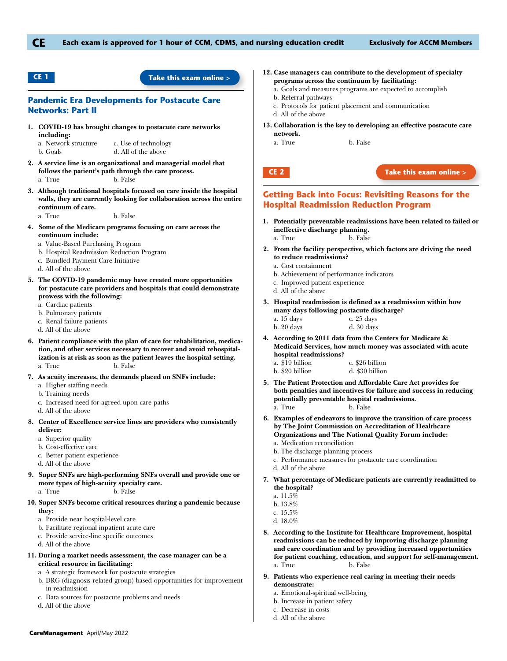

## **CE 1 [Take this exam online >](http://hosted.onlinetesting.net/ACCM/login/cm_apr_may_2022_Pandemic)**

## **Pandemic Era Developments for Postacute Care Networks: Part II**

**1. COVID-19 has brought changes to postacute care networks including:**

a. Network structure c. Use of technology b. Goals d. All of the above

- **2. A service line is an organizational and managerial model that follows the patient's path through the care process.** a. True b. False
- **3. Although traditional hospitals focused on care inside the hospital walls, they are currently looking for collaboration across the entire continuum of care.**

a. True b. False

- **4. Some of the Medicare programs focusing on care across the continuum include:**
	- a. Value-Based Purchasing Program
	- b. Hospital Readmission Reduction Program
	- c. Bundled Payment Care Initiative
	- d. All of the above
- **5. The COVID-19 pandemic may have created more opportunities for postacute care providers and hospitals that could demonstrate prowess with the following:**
	- a. Cardiac patients
	- b. Pulmonary patients
	- c. Renal failure patients
	- d. All of the above
- **6. Patient compliance with the plan of care for rehabilitation, medication, and other services necessary to recover and avoid rehospitalization is at risk as soon as the patient leaves the hospital setting.** a. True b. False
- **7. As acuity increases, the demands placed on SNFs include:**
	- a. Higher staffing needs
	- b. Training needs
	- c. Increased need for agreed-upon care paths
	- d. All of the above
- **8. Center of Excellence service lines are providers who consistently deliver:**
	- a. Superior quality
	- b. Cost-effective care
	- c. Better patient experience
	- d. All of the above
- **9. Super SNFs are high-performing SNFs overall and provide one or more types of high-acuity specialty care.**
	- a. True b. False
- **10. Super SNFs become critical resources during a pandemic because they:**
	- a. Provide near hospital-level care
	- b. Facilitate regional inpatient acute care
	- c. Provide service-line specific outcomes
	- d. All of the above
- **11. During a market needs assessment, the case manager can be a critical resource in facilitating:**
	- a. A strategic framework for postacute strategies
	- b. DRG (diagnosis-related group)-based opportunities for improvement in readmission
	- c. Data sources for postacute problems and needs
	- d. All of the above
- **12. Case managers can contribute to the development of specialty programs across the continuum by facilitating:**
	- a. Goals and measures programs are expected to accomplish
	- b. Referral pathways
	- c. Protocols for patient placement and communication
	- d. All of the above
- **13. Collaboration is the key to developing an effective postacute care network.**

a. True b. False



#### **CE 2 [Take this exam online >](http://hosted.onlinetesting.net/ACCM/login/cm_apr_may_2022_HospitalReadmissions)**

# **Getting Back into Focus: Revisiting Reasons for the Hospital Readmission Reduction Program**

- **1. Potentially preventable readmissions have been related to failed or ineffective discharge planning.**
	- a. True b. False
- **2. From the facility perspective, which factors are driving the need to reduce readmissions?**
	- a. Cost containment
	- b. Achievement of performance indicators
	- c. Improved patient experience
	- d. All of the above
- **3. Hospital readmission is defined as a readmission within how many days following postacute discharge?**
	- a. 15 days c. 25 days
	- b. 20 days d. 30 days
- **4. According to 2011 data from the Centers for Medicare & Medicaid Services, how much money was associated with acute hospital readmissions?**
	- a. \$19 billion c. \$26 billion
	- b. \$20 billion d. \$30 billion
- **5. The Patient Protection and Affordable Care Act provides for both penalties and incentives for failure and success in reducing potentially preventable hospital readmissions.** a. True b. False
- **6. Examples of endeavors to improve the transition of care process by The Joint Commission on Accreditation of Healthcare Organizations and The National Quality Forum include:**
	- a. Medication reconciliation
	- b. The discharge planning process
	- c. Performance measures for postacute care coordination
	- d. All of the above
- **7. What percentage of Medicare patients are currently readmitted to the hospital?**
	- a. 11.5%
	- b. 13.8%
	- c. 15.5%
	- d. 18.0%
- **8. According to the Institute for Healthcare Improvement, hospital readmissions can be reduced by improving discharge planning and care coordination and by providing increased opportunities for patient coaching, education, and support for self-management.** a. True b. False
- **9. Patients who experience real caring in meeting their needs demonstrate:**
	- a. Emotional-spiritual well-being
	- b. Increase in patient safety
	- c. Decrease in costs
	- d. All of the above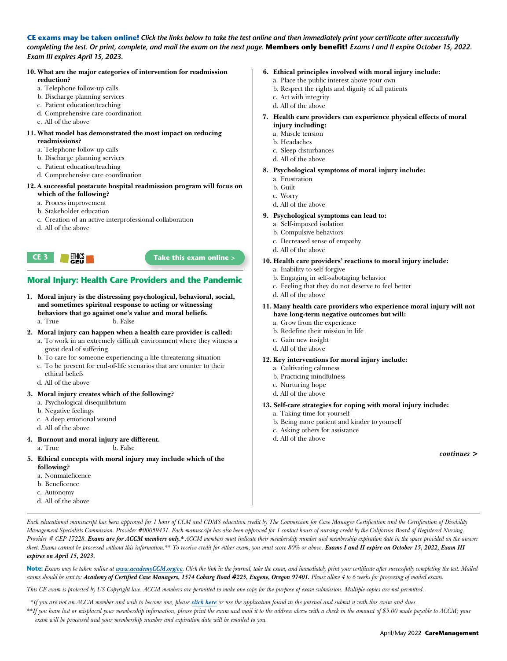**CE exams may be taken online!** *Click the links below to take the test online and then immediately print your certificate after successfully*  completing the test. Or print, complete, and mail the exam on the next page. **Members only benefit!** Exams I and II expire October 15, 2022. *Exam III expires April 15, 2023.*

#### **10. What are the major categories of intervention for readmission reduction?**

- 
- a. Telephone follow-up calls
- b. Discharge planning services
- c. Patient education/teaching
- d. Comprehensive care coordination
- e. All of the above

#### **11. What model has demonstrated the most impact on reducing readmissions?**

- a. Telephone follow-up calls
- b. Discharge planning services
- c. Patient education/teaching
- d. Comprehensive care coordination

## **12.A successful postacute hospital readmission program will focus on which of the following?**

- a. Process improvement
- b. Stakeholder education
- c. Creation of an active interprofessional collaboration
- d. All of the above



# **Moral Injury: Health Care Providers and the Pandemic**

- **1. Moral injury is the distressing psychological, behavioral, social, and sometimes spiritual response to acting or witnessing behaviors that go against one's value and moral beliefs.** a. True b. False
- **2. Moral injury can happen when a health care provider is called:** a. To work in an extremely difficult environment where they witness a
	- great deal of suffering
	- b. To care for someone experiencing a life-threatening situation
	- c. To be present for end-of-life scenarios that are counter to their ethical beliefs
	- d. All of the above

## **3. Moral injury creates which of the following?**

- a. Psychological disequilibrium
- b. Negative feelings
- c. A deep emotional wound
- d. All of the above

## **4. Burnout and moral injury are different.**

- a. True b. False
- **5. Ethical concepts with moral injury may include which of the following?**
	- a. Nonmaleficence
	- b. Beneficence
	- c. Autonomy
	- d. All of the above

# **6. Ethical principles involved with moral injury include:**

- a. Place the public interest above your own
- b. Respect the rights and dignity of all patients c. Act with integrity
- 
- d. All of the above
- **7. Health care providers can experience physical effects of moral injury including:**
	- a. Muscle tension
	- b. Headaches
	- c. Sleep disturbances
	- d. All of the above

## **8. Psychological symptoms of moral injury include:**

- a. Frustration
- b. Guilt
- c. Worry
- d. All of the above

## **9. Psychological symptoms can lead to:**

- a. Self-imposed isolation
- b. Compulsive behaviors
- c. Decreased sense of empathy
- d. All of the above

## **10. Health care providers' reactions to moral injury include:**

- a. Inability to self-forgive
- b. Engaging in self-sabotaging behavior
- c. Feeling that they do not deserve to feel better
- d. All of the above
- **11. Many health care providers who experience moral injury will not have long-term negative outcomes but will:**
	- a. Grow from the experience
	- b. Redefine their mission in life
	- c. Gain new insight
	- d. All of the above
- **12. Key interventions for moral injury include:**
	- a. Cultivating calmness
	- b. Practicing mindfulness
	- c. Nurturing hope
	- d. All of the above
- **13. Self-care strategies for coping with moral injury include:**
	- a. Taking time for yourself
	- b. Being more patient and kinder to yourself
	- c. Asking others for assistance
	- d. All of the above

*continues >*

*Each educational manuscript has been approved for 1 hour of CCM and CDMS education credit by The Commission for Case Manager Certification and the Certification of Disability Management Specialists Commission. Provider #00059431. Each manuscript has also been approved for 1 contact hours of nursing credit by the California Board of Registered Nursing.*  Provider # CEP 17228. Exams are for ACCM members only.\* ACCM members must indicate their membership number and membership expiration date in the space provided on the answer sheet. Exams cannot be processed without this information.\*\* To receive credit for either exam, you must score 80% or above. Exams I and II expire on October 15, 2022, Exam III *expires on April 15, 2023.*

Note: Exams may be taken online at [www.academyCCM.org/](http://www.academyCCM.org/ce.php)ce. Click the link in the journal, take the exam, and immediately print your certificate after successfully completing the test. Mailed exams should be sent to: Academy of Certified Case Managers, 1574 Coburg Road #225, Eugene, Oregon 97401. Please allow 4 to 6 weeks for processing of mailed exams.

*This CE exam is protected by US Copyright law. ACCM members are permitted to make one copy for the purpose of exam submission. Multiple copies are not permitted.*

 *\*If you are not an ACCM member and wish to become one, please [click here](http://academyccm.org/join) or use the application found in the journal and submit it with this exam and dues.* 

*\*\*If you have lost or misplaced your membership information, please print the exam and mail it to the address above with a check in the amount of \$5.00 made payable to ACCM; your exam will be processed and your membership number and expiration date will be emailed to you.*